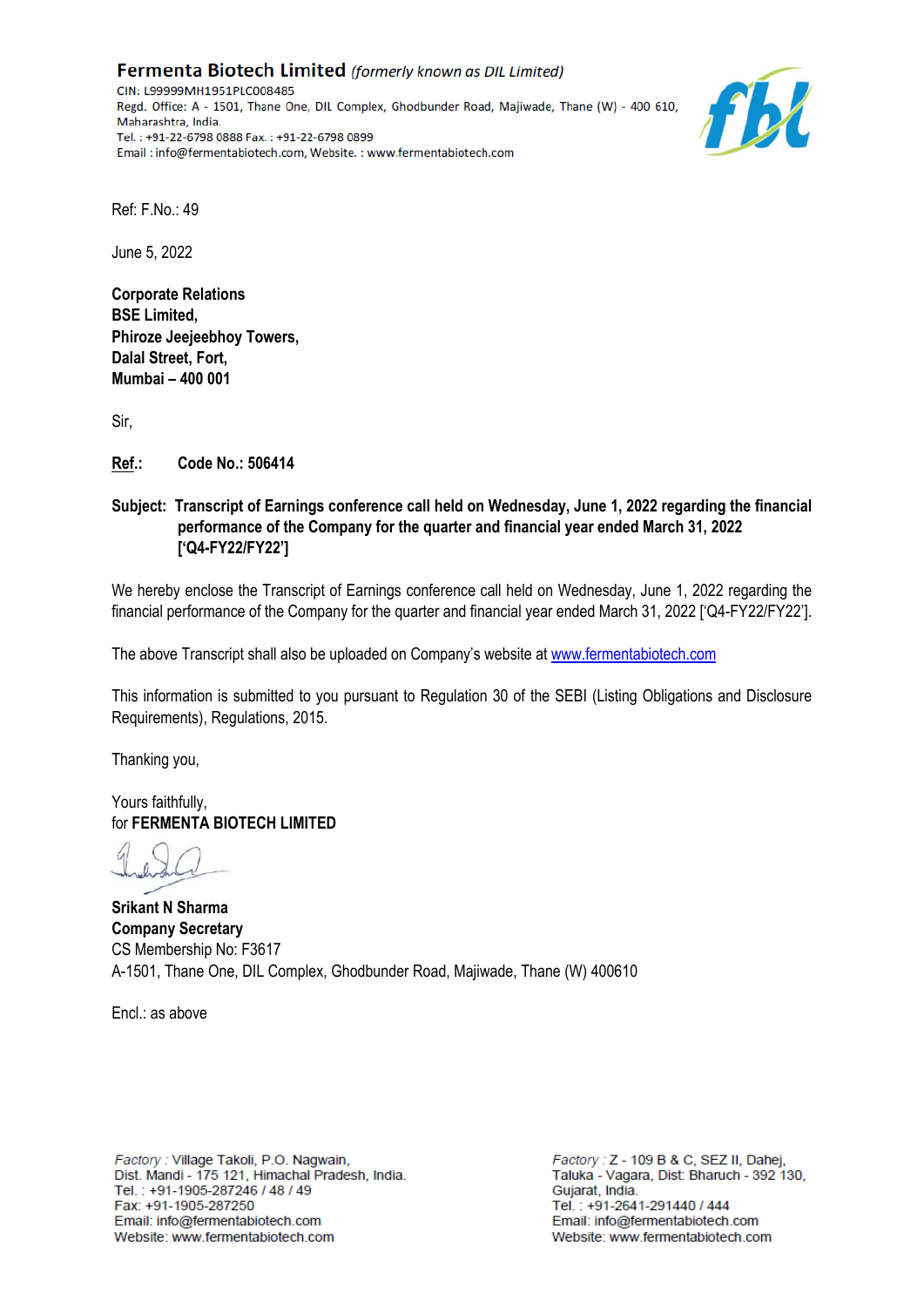Fermenta Biotech Limited (formerly known as DIL Limited) CIN: L99999MH1951PLC008485 Regd. Office: A - 1501, Thane One, DIL Complex, Ghodbunder Road, Majiwade, Thane (W) - 400 610, Maharashtra, India. Tel : +91-22-6798 0888 Fax : +91-22-6798 0899 Email: info@fermentabiotech.com, Website.: www.fermentabiotech.com



Ref: F.No.: 49

June 5, 2022

**Corporate Relations BSE Limited, Phiroze Jeejeebhoy Towers, Dalal Street, Fort, Mumbai – 400 001**

Sir,

**Ref.: Code No.: 506414**

**Subject: Transcript of Earnings conference call held on Wednesday, June 1, 2022 regarding the financial performance of the Company for the quarter and financial year ended March 31, 2022 ['Q4-FY22/FY22']**

We hereby enclose the Transcript of Earnings conference call held on Wednesday, June 1, 2022 regarding the financial performance of the Company for the quarter and financial year ended March 31, 2022 ['Q4-FY22/FY22'].

The above Transcript shall also be uploaded on Company's website at www.fermentabiotech.com

This information is submitted to you pursuant to Regulation 30 of the SEBI (Listing Obligations and Disclosure Requirements), Regulations, 2015.

Thanking you,

Yours faithfully, for **FERMENTA BIOTECH LIMITED**

**Srikant N Sharma Company Secretary** CS Membership No: F3617 A-1501, Thane One, DIL Complex, Ghodbunder Road, Majiwade, Thane (W) 400610

 $Fncl : as above$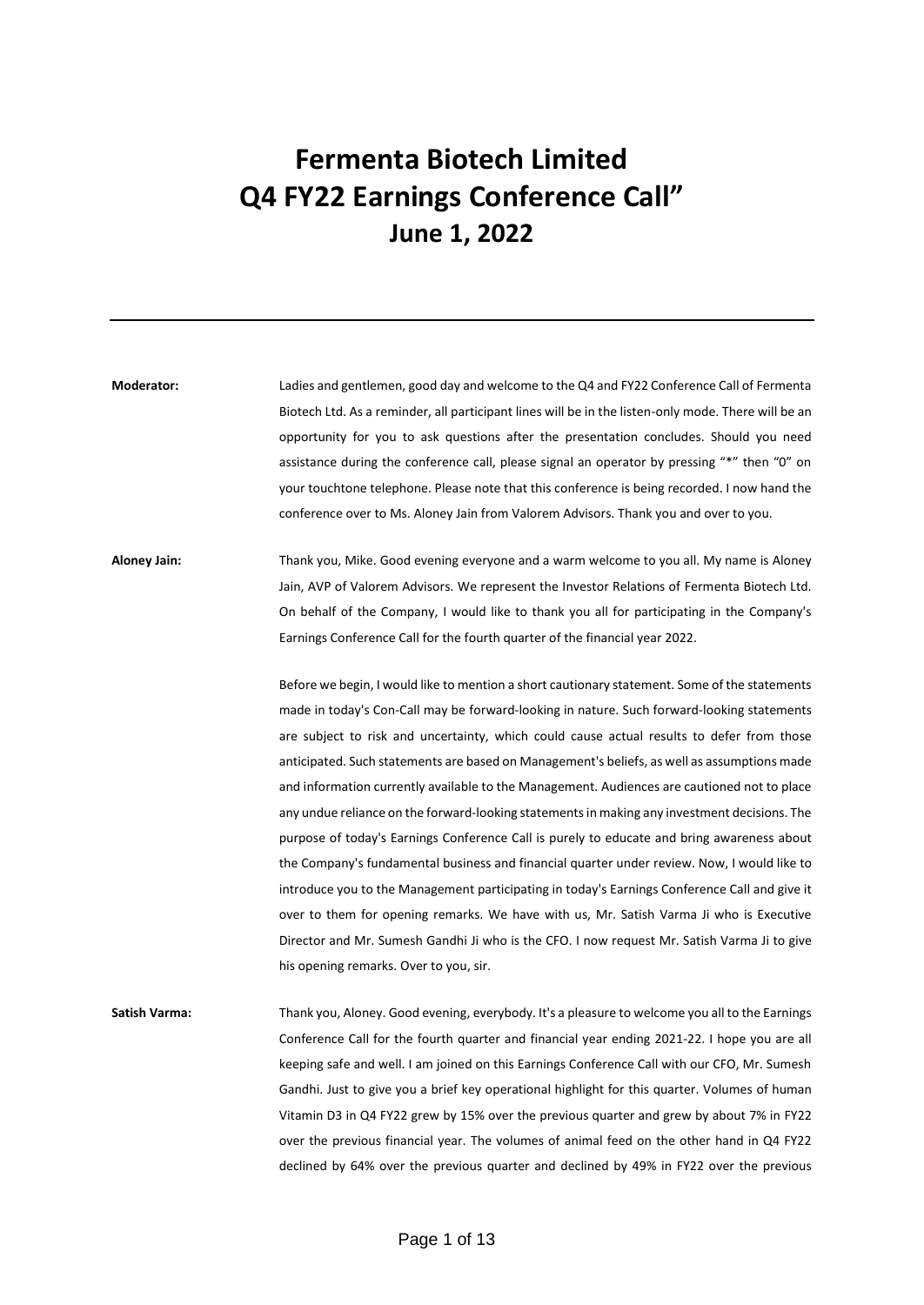## **Fermenta Biotech Limited Q4 FY22 Earnings Conference Call" June 1, 2022**

**Moderator:** Ladies and gentlemen, good day and welcome to the Q4 and FY22 Conference Call of Fermenta Biotech Ltd. As a reminder, all participant lines will be in the listen-only mode. There will be an opportunity for you to ask questions after the presentation concludes. Should you need assistance during the conference call, please signal an operator by pressing "\*" then "0" on your touchtone telephone. Please note that this conference is being recorded. I now hand the conference over to Ms. Aloney Jain from Valorem Advisors. Thank you and over to you.

**Aloney Jain:** Thank you, Mike. Good evening everyone and a warm welcome to you all. My name is Aloney Jain, AVP of Valorem Advisors. We represent the Investor Relations of Fermenta Biotech Ltd. On behalf of the Company, I would like to thank you all for participating in the Company's Earnings Conference Call for the fourth quarter of the financial year 2022.

> Before we begin, I would like to mention a short cautionary statement. Some of the statements made in today's Con-Call may be forward-looking in nature. Such forward-looking statements are subject to risk and uncertainty, which could cause actual results to defer from those anticipated. Such statements are based on Management's beliefs, as well as assumptions made and information currently available to the Management. Audiences are cautioned not to place any undue reliance on the forward-looking statements in making any investment decisions. The purpose of today's Earnings Conference Call is purely to educate and bring awareness about the Company's fundamental business and financial quarter under review. Now, I would like to introduce you to the Management participating in today's Earnings Conference Call and give it over to them for opening remarks. We have with us, Mr. Satish Varma Ji who is Executive Director and Mr. Sumesh Gandhi Ji who is the CFO. I now request Mr. Satish Varma Ji to give his opening remarks. Over to you, sir.

**Satish Varma:** Thank you, Aloney. Good evening, everybody. It's a pleasure to welcome you all to the Earnings Conference Call for the fourth quarter and financial year ending 2021-22. I hope you are all keeping safe and well. I am joined on this Earnings Conference Call with our CFO, Mr. Sumesh Gandhi. Just to give you a brief key operational highlight for this quarter. Volumes of human Vitamin D3 in Q4 FY22 grew by 15% over the previous quarter and grew by about 7% in FY22 over the previous financial year. The volumes of animal feed on the other hand in Q4 FY22 declined by 64% over the previous quarter and declined by 49% in FY22 over the previous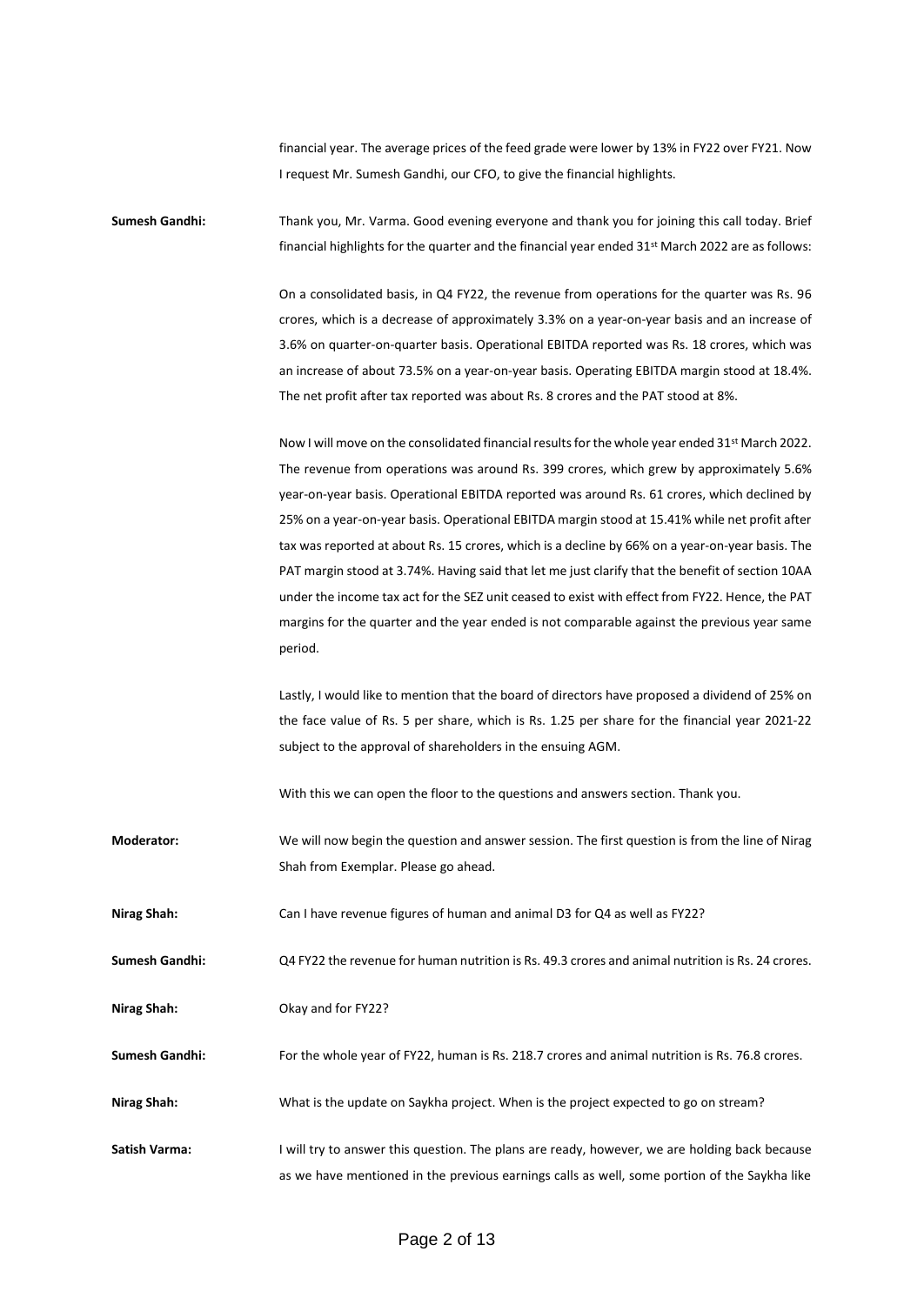financial year. The average prices of the feed grade were lower by 13% in FY22 over FY21. Now I request Mr. Sumesh Gandhi, our CFO, to give the financial highlights.

**Sumesh Gandhi:** Thank you, Mr. Varma. Good evening everyone and thank you for joining this call today. Brief financial highlights for the quarter and the financial year ended 31<sup>st</sup> March 2022 are as follows:

> On a consolidated basis, in Q4 FY22, the revenue from operations for the quarter was Rs. 96 crores, which is a decrease of approximately 3.3% on a year-on-year basis and an increase of 3.6% on quarter-on-quarter basis. Operational EBITDA reported was Rs. 18 crores, which was an increase of about 73.5% on a year-on-year basis. Operating EBITDA margin stood at 18.4%. The net profit after tax reported was about Rs. 8 crores and the PAT stood at 8%.

> Now I will move on the consolidated financial results for the whole year ended 31<sup>st</sup> March 2022. The revenue from operations was around Rs. 399 crores, which grew by approximately 5.6% year-on-year basis. Operational EBITDA reported was around Rs. 61 crores, which declined by 25% on a year-on-year basis. Operational EBITDA margin stood at 15.41% while net profit after tax was reported at about Rs. 15 crores, which is a decline by 66% on a year-on-year basis. The PAT margin stood at 3.74%. Having said that let me just clarify that the benefit of section 10AA under the income tax act for the SEZ unit ceased to exist with effect from FY22. Hence, the PAT margins for the quarter and the year ended is not comparable against the previous year same period.

> Lastly, I would like to mention that the board of directors have proposed a dividend of 25% on the face value of Rs. 5 per share, which is Rs. 1.25 per share for the financial year 2021-22 subject to the approval of shareholders in the ensuing AGM.

With this we can open the floor to the questions and answers section. Thank you.

**Moderator:** We will now begin the question and answer session. The first question is from the line of Nirag Shah from Exemplar. Please go ahead.

**Nirag Shah:** Can I have revenue figures of human and animal D3 for Q4 as well as FY22?

**Sumesh Gandhi:** Q4 FY22 the revenue for human nutrition is Rs. 49.3 crores and animal nutrition is Rs. 24 crores.

**Nirag Shah:** Okay and for FY22?

**Sumesh Gandhi:** For the whole year of FY22, human is Rs. 218.7 crores and animal nutrition is Rs. 76.8 crores.

**Nirag Shah:** What is the update on Saykha project. When is the project expected to go on stream?

Satish Varma: I will try to answer this question. The plans are ready, however, we are holding back because as we have mentioned in the previous earnings calls as well, some portion of the Saykha like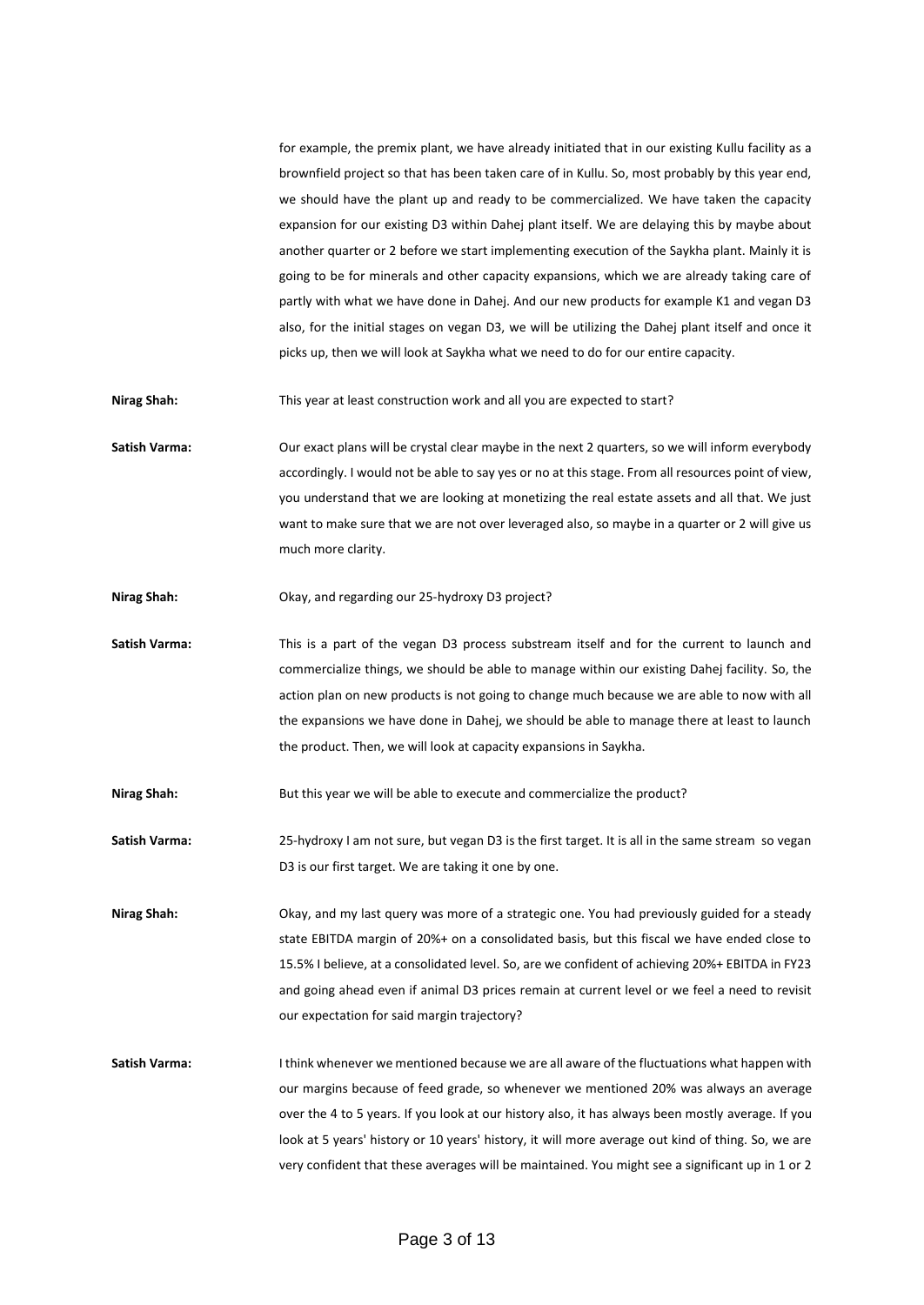for example, the premix plant, we have already initiated that in our existing Kullu facility as a brownfield project so that has been taken care of in Kullu. So, most probably by this year end, we should have the plant up and ready to be commercialized. We have taken the capacity expansion for our existing D3 within Dahej plant itself. We are delaying this by maybe about another quarter or 2 before we start implementing execution of the Saykha plant. Mainly it is going to be for minerals and other capacity expansions, which we are already taking care of partly with what we have done in Dahej. And our new products for example K1 and vegan D3 also, for the initial stages on vegan D3, we will be utilizing the Dahej plant itself and once it picks up, then we will look at Saykha what we need to do for our entire capacity.

**Nirag Shah:** This year at least construction work and all you are expected to start?

**Satish Varma:** Our exact plans will be crystal clear maybe in the next 2 quarters, so we will inform everybody accordingly. I would not be able to say yes or no at this stage. From all resources point of view, you understand that we are looking at monetizing the real estate assets and all that. We just want to make sure that we are not over leveraged also, so maybe in a quarter or 2 will give us much more clarity.

**Nirag Shah:** Okay, and regarding our 25-hydroxy D3 project?

**Satish Varma:** This is a part of the vegan D3 process substream itself and for the current to launch and commercialize things, we should be able to manage within our existing Dahej facility. So, the action plan on new products is not going to change much because we are able to now with all the expansions we have done in Dahej, we should be able to manage there at least to launch the product. Then, we will look at capacity expansions in Saykha.

**Nirag Shah:** But this year we will be able to execute and commercialize the product?

**Satish Varma:** 25-hydroxy I am not sure, but vegan D3 is the first target. It is all in the same stream so vegan D3 is our first target. We are taking it one by one.

**Nirag Shah:** Okay, and my last query was more of a strategic one. You had previously guided for a steady state EBITDA margin of 20%+ on a consolidated basis, but this fiscal we have ended close to 15.5% I believe, at a consolidated level. So, are we confident of achieving 20%+ EBITDA in FY23 and going ahead even if animal D3 prices remain at current level or we feel a need to revisit our expectation for said margin trajectory?

**Satish Varma:** I think whenever we mentioned because we are all aware of the fluctuations what happen with our margins because of feed grade, so whenever we mentioned 20% was always an average over the 4 to 5 years. If you look at our history also, it has always been mostly average. If you look at 5 years' history or 10 years' history, it will more average out kind of thing. So, we are very confident that these averages will be maintained. You might see a significant up in 1 or 2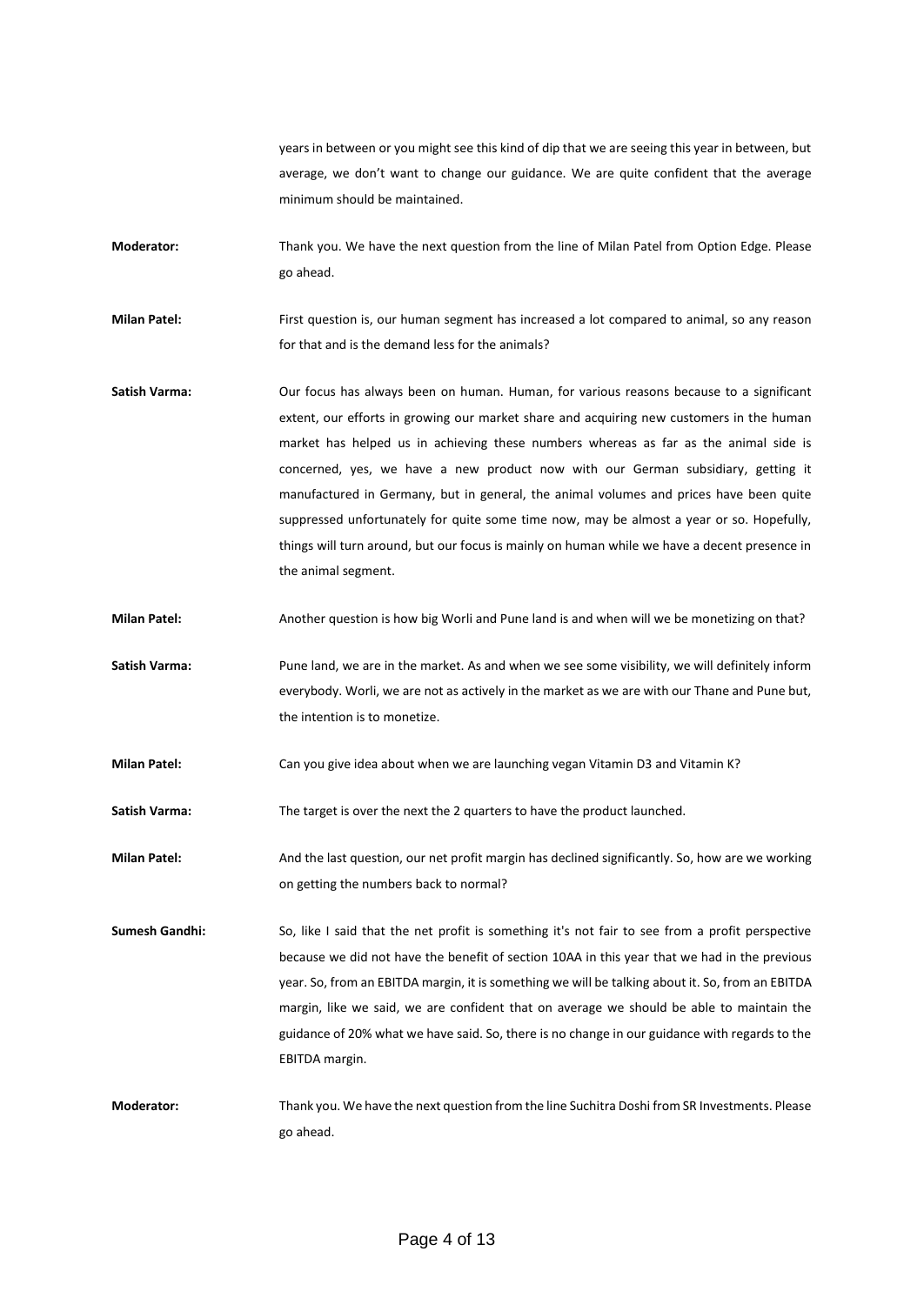years in between or you might see this kind of dip that we are seeing this year in between, but average, we don't want to change our guidance. We are quite confident that the average minimum should be maintained.

**Moderator:** Thank you. We have the next question from the line of Milan Patel from Option Edge. Please go ahead.

**Milan Patel:** First question is, our human segment has increased a lot compared to animal, so any reason for that and is the demand less for the animals?

- **Satish Varma:** Our focus has always been on human. Human, for various reasons because to a significant extent, our efforts in growing our market share and acquiring new customers in the human market has helped us in achieving these numbers whereas as far as the animal side is concerned, yes, we have a new product now with our German subsidiary, getting it manufactured in Germany, but in general, the animal volumes and prices have been quite suppressed unfortunately for quite some time now, may be almost a year or so. Hopefully, things will turn around, but our focus is mainly on human while we have a decent presence in the animal segment.
- **Milan Patel:** Another question is how big Worli and Pune land is and when will we be monetizing on that?
- **Satish Varma:** Pune land, we are in the market. As and when we see some visibility, we will definitely inform everybody. Worli, we are not as actively in the market as we are with our Thane and Pune but, the intention is to monetize.
- **Milan Patel:** Can you give idea about when we are launching vegan Vitamin D3 and Vitamin K?

**Satish Varma:** The target is over the next the 2 quarters to have the product launched.

**Milan Patel:** And the last question, our net profit margin has declined significantly. So, how are we working on getting the numbers back to normal?

**Sumesh Gandhi:** So, like I said that the net profit is something it's not fair to see from a profit perspective because we did not have the benefit of section 10AA in this year that we had in the previous year. So, from an EBITDA margin, it is something we will be talking about it. So, from an EBITDA margin, like we said, we are confident that on average we should be able to maintain the guidance of 20% what we have said. So, there is no change in our guidance with regards to the EBITDA margin.

**Moderator:** Thank you. We have the next question from the line Suchitra Doshi from SR Investments. Please go ahead.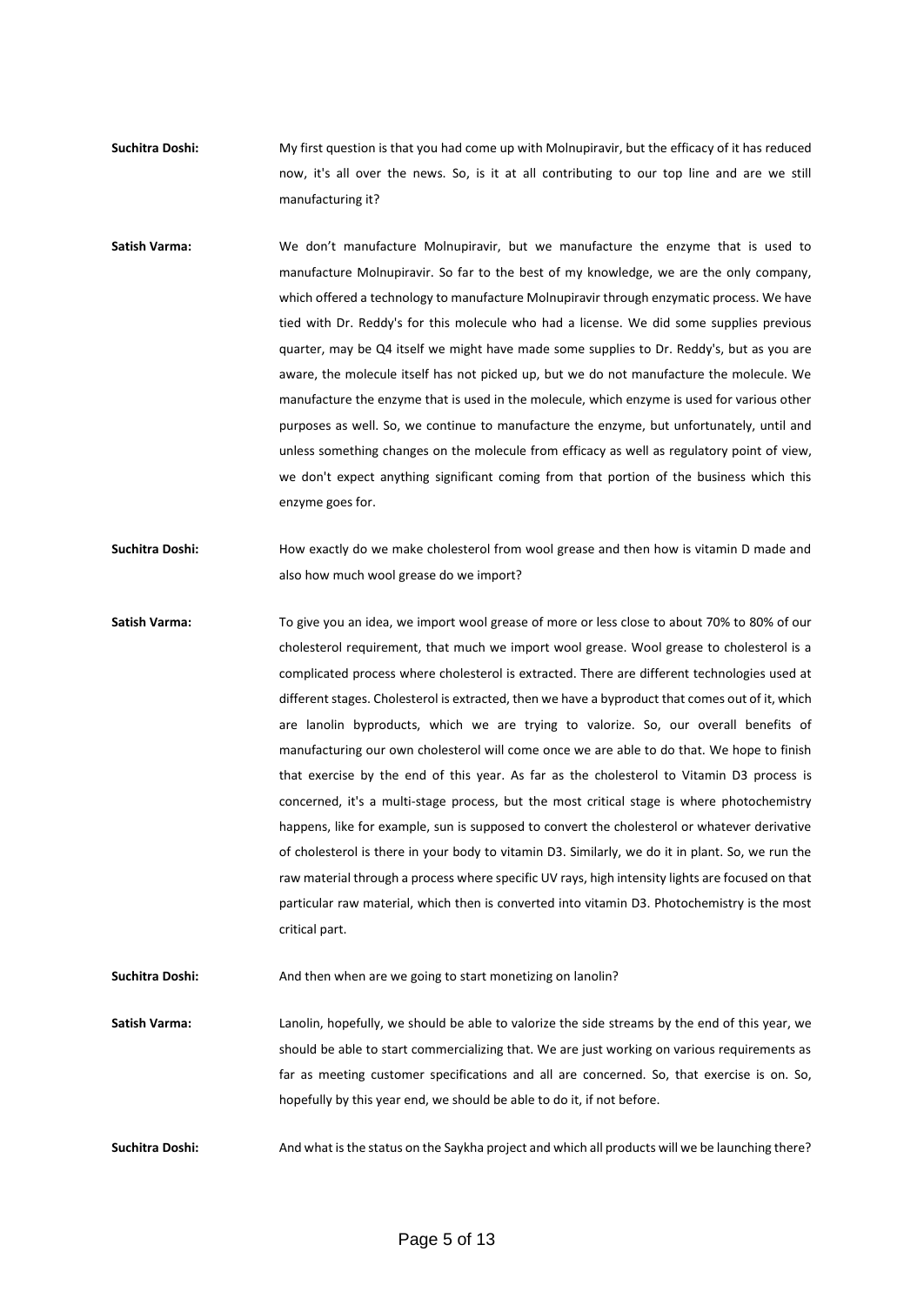- **Suchitra Doshi:** My first question is that you had come up with Molnupiravir, but the efficacy of it has reduced now, it's all over the news. So, is it at all contributing to our top line and are we still manufacturing it?
- **Satish Varma:** We don't manufacture Molnupiravir, but we manufacture the enzyme that is used to manufacture Molnupiravir. So far to the best of my knowledge, we are the only company, which offered a technology to manufacture Molnupiravir through enzymatic process. We have tied with Dr. Reddy's for this molecule who had a license. We did some supplies previous quarter, may be Q4 itself we might have made some supplies to Dr. Reddy's, but as you are aware, the molecule itself has not picked up, but we do not manufacture the molecule. We manufacture the enzyme that is used in the molecule, which enzyme is used for various other purposes as well. So, we continue to manufacture the enzyme, but unfortunately, until and unless something changes on the molecule from efficacy as well as regulatory point of view, we don't expect anything significant coming from that portion of the business which this enzyme goes for.
- **Suchitra Doshi:** How exactly do we make cholesterol from wool grease and then how is vitamin D made and also how much wool grease do we import?
- **Satish Varma:** To give you an idea, we import wool grease of more or less close to about 70% to 80% of our cholesterol requirement, that much we import wool grease. Wool grease to cholesterol is a complicated process where cholesterol is extracted. There are different technologies used at different stages. Cholesterol is extracted, then we have a byproduct that comes out of it, which are lanolin byproducts, which we are trying to valorize. So, our overall benefits of manufacturing our own cholesterol will come once we are able to do that. We hope to finish that exercise by the end of this year. As far as the cholesterol to Vitamin D3 process is concerned, it's a multi-stage process, but the most critical stage is where photochemistry happens, like for example, sun is supposed to convert the cholesterol or whatever derivative of cholesterol is there in your body to vitamin D3. Similarly, we do it in plant. So, we run the raw material through a process where specific UV rays, high intensity lights are focused on that particular raw material, which then is converted into vitamin D3. Photochemistry is the most critical part.
- Suchitra Doshi: And then when are we going to start monetizing on lanolin?

**Satish Varma:** Lanolin, hopefully, we should be able to valorize the side streams by the end of this year, we should be able to start commercializing that. We are just working on various requirements as far as meeting customer specifications and all are concerned. So, that exercise is on. So, hopefully by this year end, we should be able to do it, if not before.

**Suchitra Doshi:** And what is the status on the Saykha project and which all products will we be launching there?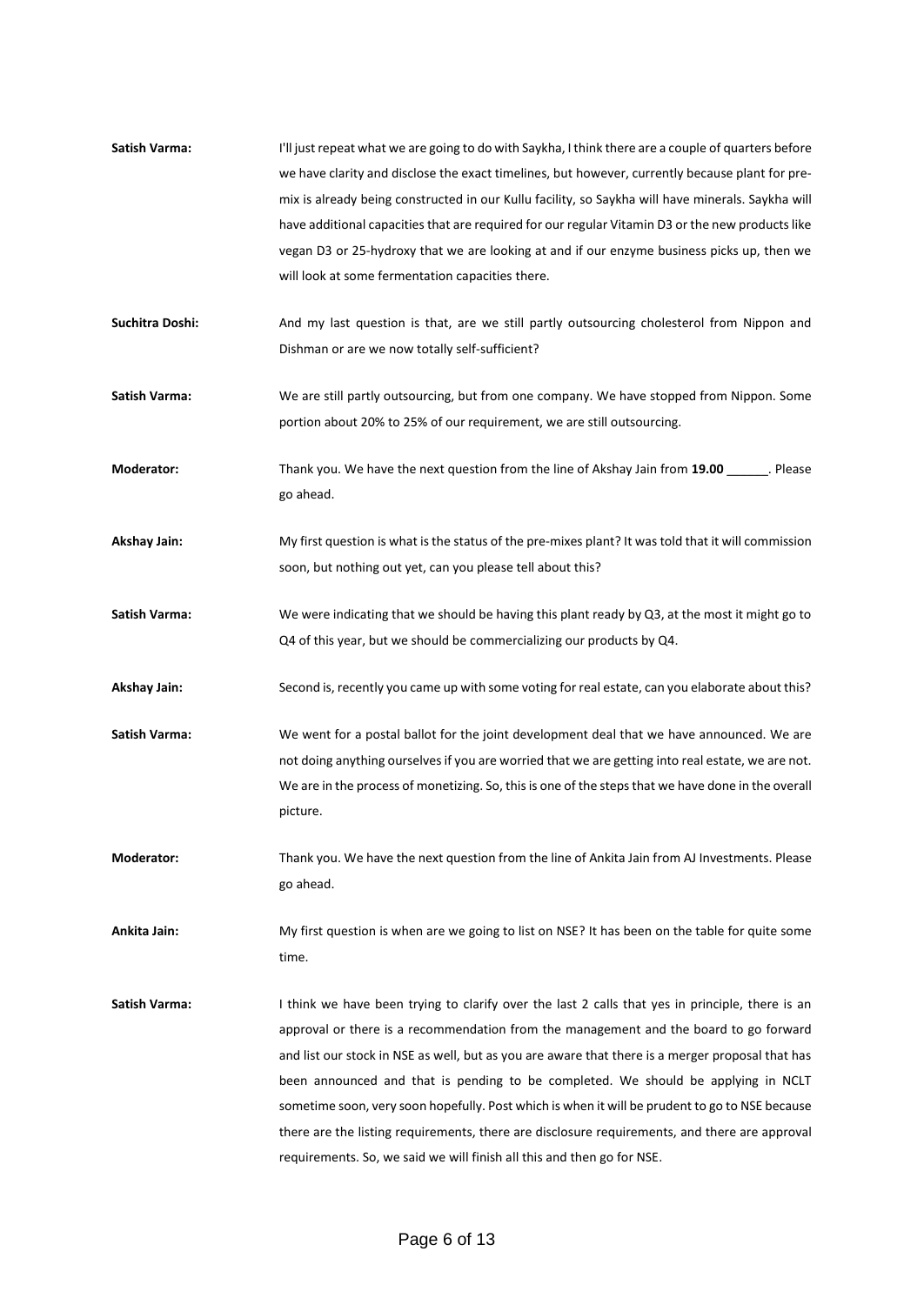| Satish Varma:        | I'll just repeat what we are going to do with Saykha, I think there are a couple of quarters before |
|----------------------|-----------------------------------------------------------------------------------------------------|
|                      | we have clarity and disclose the exact timelines, but however, currently because plant for pre-     |
|                      | mix is already being constructed in our Kullu facility, so Saykha will have minerals. Saykha will   |
|                      | have additional capacities that are required for our regular Vitamin D3 or the new products like    |
|                      | vegan D3 or 25-hydroxy that we are looking at and if our enzyme business picks up, then we          |
|                      | will look at some fermentation capacities there.                                                    |
|                      |                                                                                                     |
| Suchitra Doshi:      | And my last question is that, are we still partly outsourcing cholesterol from Nippon and           |
|                      | Dishman or are we now totally self-sufficient?                                                      |
| Satish Varma:        | We are still partly outsourcing, but from one company. We have stopped from Nippon. Some            |
|                      | portion about 20% to 25% of our requirement, we are still outsourcing.                              |
|                      |                                                                                                     |
| <b>Moderator:</b>    | Thank you. We have the next question from the line of Akshay Jain from 19.00 ______. Please         |
|                      | go ahead.                                                                                           |
| <b>Akshay Jain:</b>  | My first question is what is the status of the pre-mixes plant? It was told that it will commission |
|                      | soon, but nothing out yet, can you please tell about this?                                          |
|                      |                                                                                                     |
| Satish Varma:        | We were indicating that we should be having this plant ready by Q3, at the most it might go to      |
|                      | Q4 of this year, but we should be commercializing our products by Q4.                               |
| <b>Akshay Jain:</b>  | Second is, recently you came up with some voting for real estate, can you elaborate about this?     |
|                      |                                                                                                     |
| <b>Satish Varma:</b> | We went for a postal ballot for the joint development deal that we have announced. We are           |
|                      | not doing anything ourselves if you are worried that we are getting into real estate, we are not.   |
|                      | We are in the process of monetizing. So, this is one of the steps that we have done in the overall  |
|                      | picture.                                                                                            |
| Moderator:           | Thank you. We have the next question from the line of Ankita Jain from AJ Investments. Please       |
|                      | go ahead.                                                                                           |
|                      |                                                                                                     |
| Ankita Jain:         | My first question is when are we going to list on NSE? It has been on the table for quite some      |
|                      | time.                                                                                               |
|                      |                                                                                                     |
| Satish Varma:        | I think we have been trying to clarify over the last 2 calls that yes in principle, there is an     |
|                      | approval or there is a recommendation from the management and the board to go forward               |
|                      | and list our stock in NSE as well, but as you are aware that there is a merger proposal that has    |
|                      | been announced and that is pending to be completed. We should be applying in NCLT                   |
|                      | sometime soon, very soon hopefully. Post which is when it will be prudent to go to NSE because      |
|                      | there are the listing requirements, there are disclosure requirements, and there are approval       |
|                      | requirements. So, we said we will finish all this and then go for NSE.                              |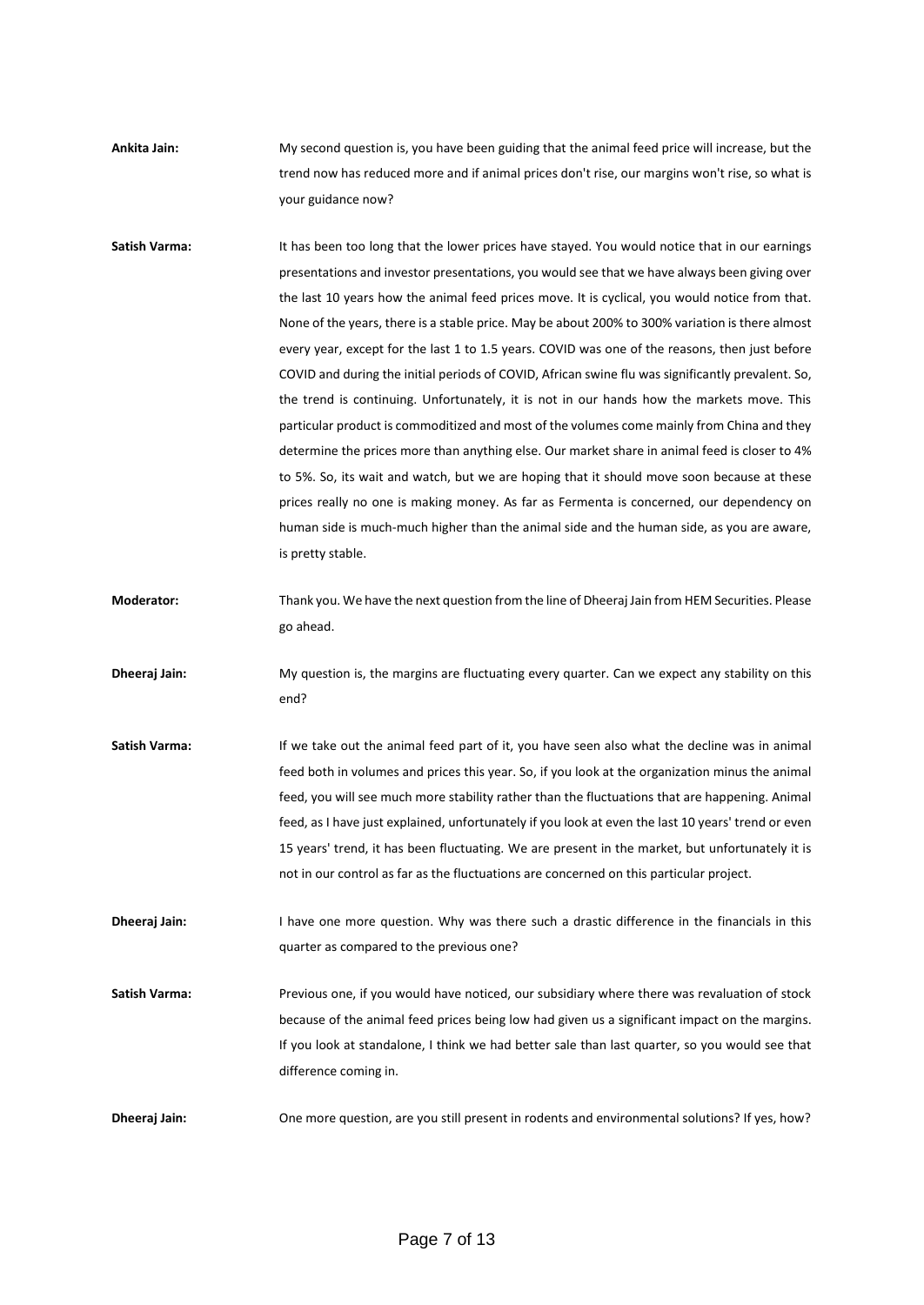**Ankita Jain:** My second question is, you have been guiding that the animal feed price will increase, but the trend now has reduced more and if animal prices don't rise, our margins won't rise, so what is your guidance now?

Satish Varma: It has been too long that the lower prices have stayed. You would notice that in our earnings presentations and investor presentations, you would see that we have always been giving over the last 10 years how the animal feed prices move. It is cyclical, you would notice from that. None of the years, there is a stable price. May be about 200% to 300% variation is there almost every year, except for the last 1 to 1.5 years. COVID was one of the reasons, then just before COVID and during the initial periods of COVID, African swine flu was significantly prevalent. So, the trend is continuing. Unfortunately, it is not in our hands how the markets move. This particular product is commoditized and most of the volumes come mainly from China and they determine the prices more than anything else. Our market share in animal feed is closer to 4% to 5%. So, its wait and watch, but we are hoping that it should move soon because at these prices really no one is making money. As far as Fermenta is concerned, our dependency on human side is much-much higher than the animal side and the human side, as you are aware, is pretty stable.

**Moderator:** Thank you. We have the next question from the line of Dheeraj Jain from HEM Securities. Please go ahead.

**Dheeraj Jain:** My question is, the margins are fluctuating every quarter. Can we expect any stability on this end?

**Satish Varma:** If we take out the animal feed part of it, you have seen also what the decline was in animal feed both in volumes and prices this year. So, if you look at the organization minus the animal feed, you will see much more stability rather than the fluctuations that are happening. Animal feed, as I have just explained, unfortunately if you look at even the last 10 years' trend or even 15 years' trend, it has been fluctuating. We are present in the market, but unfortunately it is not in our control as far as the fluctuations are concerned on this particular project.

**Dheeraj Jain:** I have one more question. Why was there such a drastic difference in the financials in this quarter as compared to the previous one?

**Satish Varma:** Previous one, if you would have noticed, our subsidiary where there was revaluation of stock because of the animal feed prices being low had given us a significant impact on the margins. If you look at standalone, I think we had better sale than last quarter, so you would see that difference coming in.

**Dheeraj Jain:** One more question, are you still present in rodents and environmental solutions? If yes, how?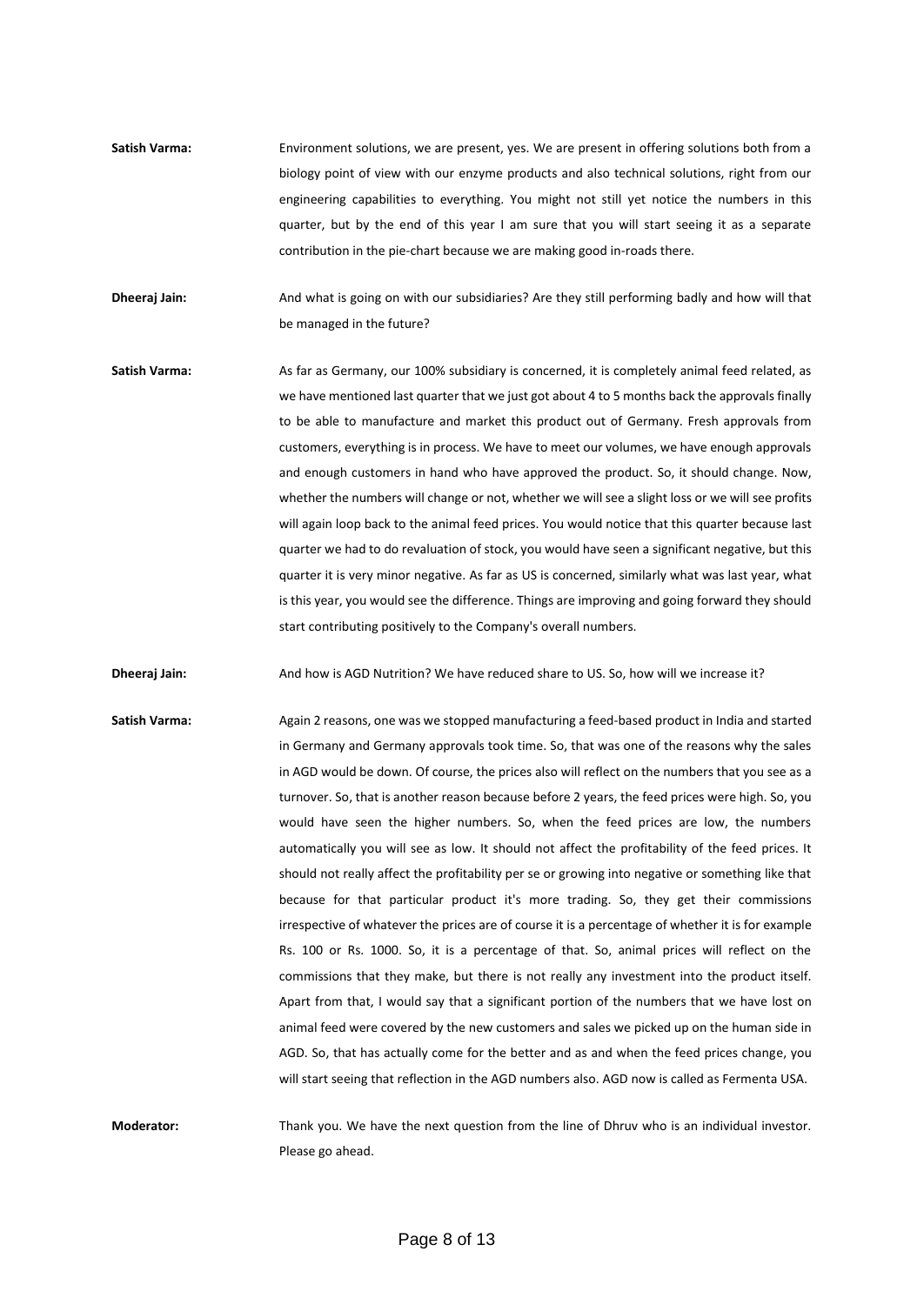**Satish Varma:** Environment solutions, we are present, yes. We are present in offering solutions both from a biology point of view with our enzyme products and also technical solutions, right from our engineering capabilities to everything. You might not still yet notice the numbers in this quarter, but by the end of this year I am sure that you will start seeing it as a separate contribution in the pie-chart because we are making good in-roads there.

**Dheeraj Jain:** And what is going on with our subsidiaries? Are they still performing badly and how will that be managed in the future?

**Satish Varma:** As far as Germany, our 100% subsidiary is concerned, it is completely animal feed related, as we have mentioned last quarter that we just got about 4 to 5 months back the approvals finally to be able to manufacture and market this product out of Germany. Fresh approvals from customers, everything is in process. We have to meet our volumes, we have enough approvals and enough customers in hand who have approved the product. So, it should change. Now, whether the numbers will change or not, whether we will see a slight loss or we will see profits will again loop back to the animal feed prices. You would notice that this quarter because last quarter we had to do revaluation of stock, you would have seen a significant negative, but this quarter it is very minor negative. As far as US is concerned, similarly what was last year, what is this year, you would see the difference. Things are improving and going forward they should start contributing positively to the Company's overall numbers.

**Dheeraj Jain:** And how is AGD Nutrition? We have reduced share to US. So, how will we increase it?

**Satish Varma:** Again 2 reasons, one was we stopped manufacturing a feed-based product in India and started in Germany and Germany approvals took time. So, that was one of the reasons why the sales in AGD would be down. Of course, the prices also will reflect on the numbers that you see as a turnover. So, that is another reason because before 2 years, the feed prices were high. So, you would have seen the higher numbers. So, when the feed prices are low, the numbers automatically you will see as low. It should not affect the profitability of the feed prices. It should not really affect the profitability per se or growing into negative or something like that because for that particular product it's more trading. So, they get their commissions irrespective of whatever the prices are of course it is a percentage of whether it is for example Rs. 100 or Rs. 1000. So, it is a percentage of that. So, animal prices will reflect on the commissions that they make, but there is not really any investment into the product itself. Apart from that, I would say that a significant portion of the numbers that we have lost on animal feed were covered by the new customers and sales we picked up on the human side in AGD. So, that has actually come for the better and as and when the feed prices change, you will start seeing that reflection in the AGD numbers also. AGD now is called as Fermenta USA.

**Moderator:** Thank you. We have the next question from the line of Dhruv who is an individual investor. Please go ahead.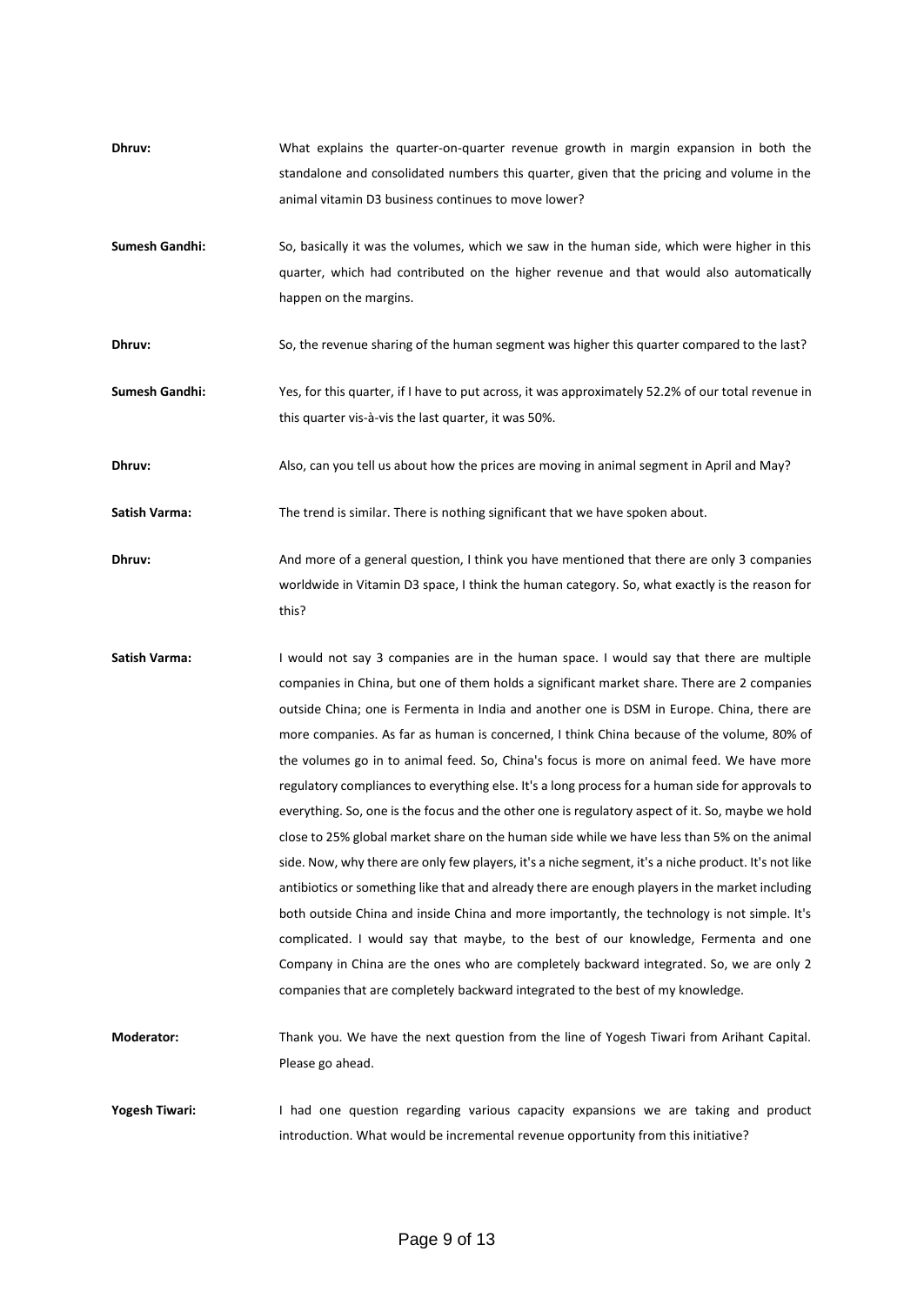| Dhruv: | What explains the quarter-on-quarter revenue growth in margin expansion in both the        |
|--------|--------------------------------------------------------------------------------------------|
|        | standalone and consolidated numbers this quarter, given that the pricing and volume in the |
|        | animal vitamin D3 business continues to move lower?                                        |

**Sumesh Gandhi:** So, basically it was the volumes, which we saw in the human side, which were higher in this quarter, which had contributed on the higher revenue and that would also automatically happen on the margins.

**Dhruv:** So, the revenue sharing of the human segment was higher this quarter compared to the last?

**Sumesh Gandhi:** Yes, for this quarter, if I have to put across, it was approximately 52.2% of our total revenue in this quarter vis-à-vis the last quarter, it was 50%.

**Dhruv:** Also, can you tell us about how the prices are moving in animal segment in April and May?

**Satish Varma:** The trend is similar. There is nothing significant that we have spoken about.

**Dhruv:** And more of a general question, I think you have mentioned that there are only 3 companies worldwide in Vitamin D3 space, I think the human category. So, what exactly is the reason for this?

**Satish Varma:** I would not say 3 companies are in the human space. I would say that there are multiple companies in China, but one of them holds a significant market share. There are 2 companies outside China; one is Fermenta in India and another one is DSM in Europe. China, there are more companies. As far as human is concerned, I think China because of the volume, 80% of the volumes go in to animal feed. So, China's focus is more on animal feed. We have more regulatory compliances to everything else. It's a long process for a human side for approvals to everything. So, one is the focus and the other one is regulatory aspect of it. So, maybe we hold close to 25% global market share on the human side while we have less than 5% on the animal side. Now, why there are only few players, it's a niche segment, it's a niche product. It's not like antibiotics or something like that and already there are enough players in the market including both outside China and inside China and more importantly, the technology is not simple. It's complicated. I would say that maybe, to the best of our knowledge, Fermenta and one Company in China are the ones who are completely backward integrated. So, we are only 2 companies that are completely backward integrated to the best of my knowledge.

**Moderator:** Thank you. We have the next question from the line of Yogesh Tiwari from Arihant Capital. Please go ahead.

Yogesh Tiwari: I had one question regarding various capacity expansions we are taking and product introduction. What would be incremental revenue opportunity from this initiative?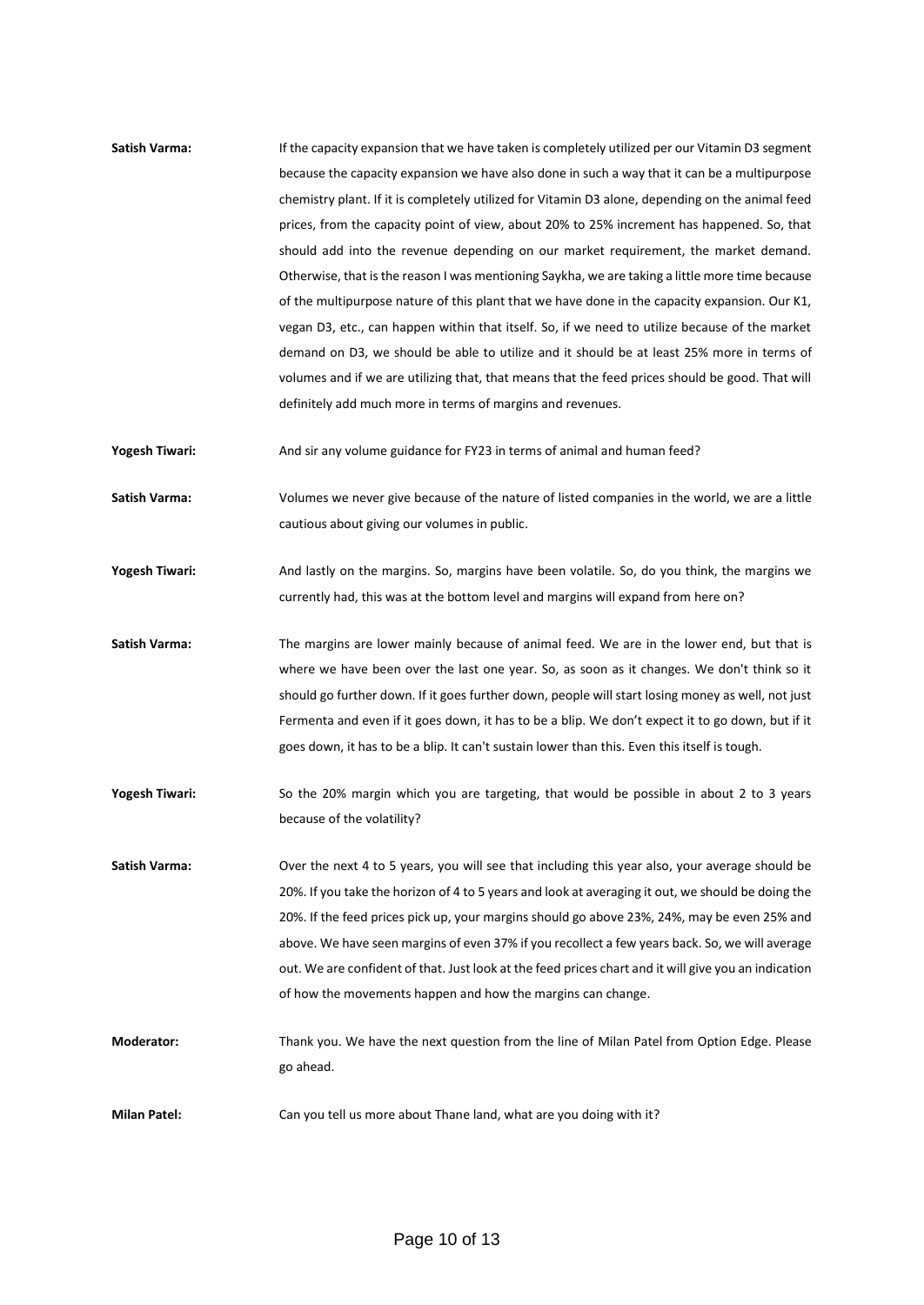**Satish Varma:** If the capacity expansion that we have taken is completely utilized per our Vitamin D3 segment because the capacity expansion we have also done in such a way that it can be a multipurpose chemistry plant. If it is completely utilized for Vitamin D3 alone, depending on the animal feed prices, from the capacity point of view, about 20% to 25% increment has happened. So, that should add into the revenue depending on our market requirement, the market demand. Otherwise, that is the reason I was mentioning Saykha, we are taking a little more time because of the multipurpose nature of this plant that we have done in the capacity expansion. Our K1, vegan D3, etc., can happen within that itself. So, if we need to utilize because of the market demand on D3, we should be able to utilize and it should be at least 25% more in terms of volumes and if we are utilizing that, that means that the feed prices should be good. That will definitely add much more in terms of margins and revenues.

**Yogesh Tiwari:** And sir any volume guidance for FY23 in terms of animal and human feed?

**Satish Varma:** Volumes we never give because of the nature of listed companies in the world, we are a little cautious about giving our volumes in public.

**Yogesh Tiwari:** And lastly on the margins. So, margins have been volatile. So, do you think, the margins we currently had, this was at the bottom level and margins will expand from here on?

- **Satish Varma:** The margins are lower mainly because of animal feed. We are in the lower end, but that is where we have been over the last one year. So, as soon as it changes. We don't think so it should go further down. If it goes further down, people will start losing money as well, not just Fermenta and even if it goes down, it has to be a blip. We don't expect it to go down, but if it goes down, it has to be a blip. It can't sustain lower than this. Even this itself is tough.
- Yogesh Tiwari: So the 20% margin which you are targeting, that would be possible in about 2 to 3 years because of the volatility?

**Satish Varma:** Over the next 4 to 5 years, you will see that including this year also, your average should be 20%. If you take the horizon of 4 to 5 years and look at averaging it out, we should be doing the 20%. If the feed prices pick up, your margins should go above 23%, 24%, may be even 25% and above. We have seen margins of even 37% if you recollect a few years back. So, we will average out. We are confident of that. Just look at the feed prices chart and it will give you an indication of how the movements happen and how the margins can change.

**Moderator:** Thank you. We have the next question from the line of Milan Patel from Option Edge. Please go ahead.

**Milan Patel:** Can you tell us more about Thane land, what are you doing with it?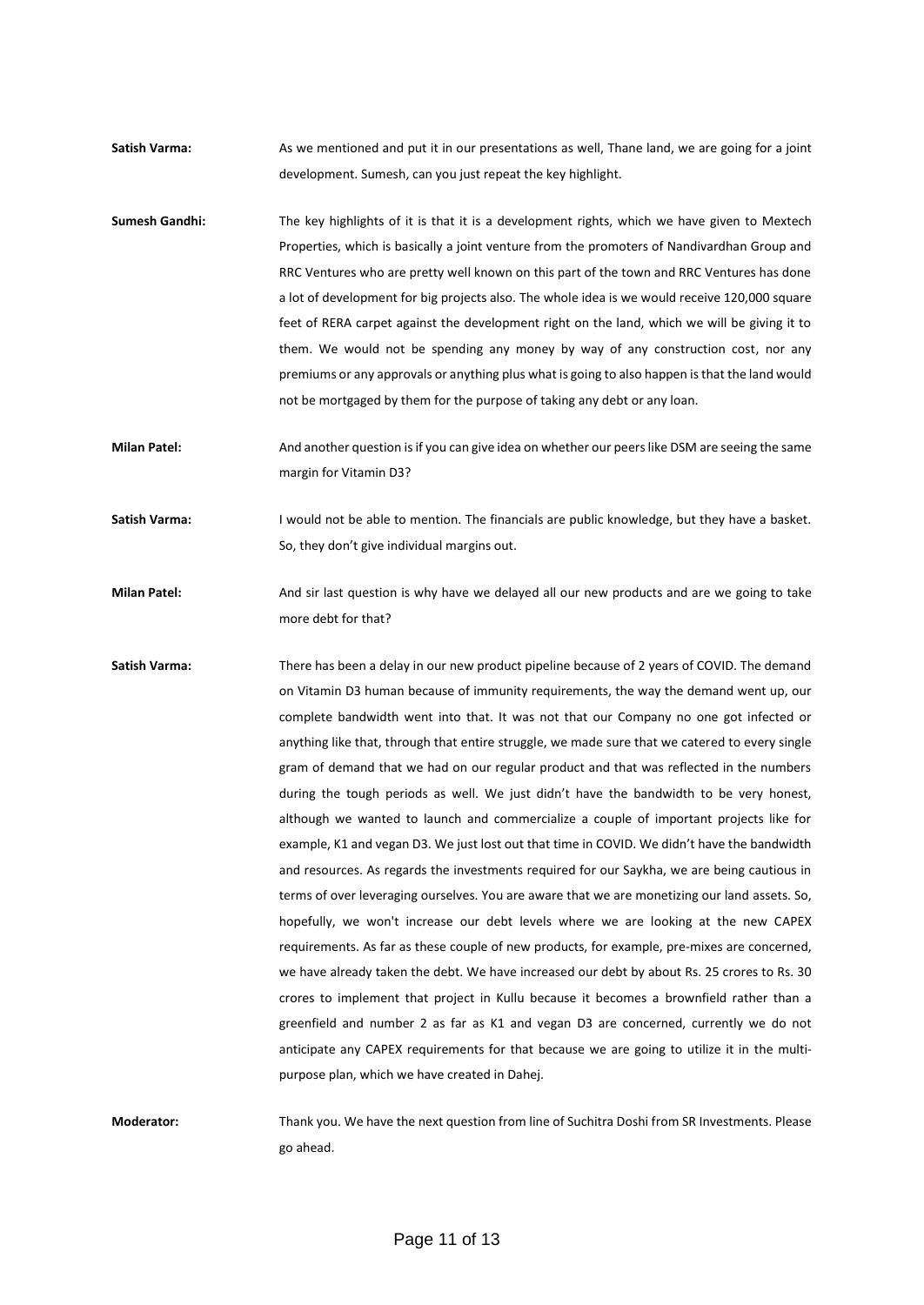- **Satish Varma:** As we mentioned and put it in our presentations as well. Thane land, we are going for a joint development. Sumesh, can you just repeat the key highlight.
- **Sumesh Gandhi:** The key highlights of it is that it is a development rights, which we have given to Mextech Properties, which is basically a joint venture from the promoters of Nandivardhan Group and RRC Ventures who are pretty well known on this part of the town and RRC Ventures has done a lot of development for big projects also. The whole idea is we would receive 120,000 square feet of RERA carpet against the development right on the land, which we will be giving it to them. We would not be spending any money by way of any construction cost, nor any premiums or any approvals or anything plus what is going to also happen is that the land would not be mortgaged by them for the purpose of taking any debt or any loan.

**Milan Patel:** And another question is if you can give idea on whether our peers like DSM are seeing the same margin for Vitamin D3?

**Satish Varma:** I would not be able to mention. The financials are public knowledge, but they have a basket. So, they don't give individual margins out.

**Milan Patel:** And sir last question is why have we delayed all our new products and are we going to take more debt for that?

**Satish Varma:** There has been a delay in our new product pipeline because of 2 years of COVID. The demand on Vitamin D3 human because of immunity requirements, the way the demand went up, our complete bandwidth went into that. It was not that our Company no one got infected or anything like that, through that entire struggle, we made sure that we catered to every single gram of demand that we had on our regular product and that was reflected in the numbers during the tough periods as well. We just didn't have the bandwidth to be very honest, although we wanted to launch and commercialize a couple of important projects like for example, K1 and vegan D3. We just lost out that time in COVID. We didn't have the bandwidth and resources. As regards the investments required for our Saykha, we are being cautious in terms of over leveraging ourselves. You are aware that we are monetizing our land assets. So, hopefully, we won't increase our debt levels where we are looking at the new CAPEX requirements. As far as these couple of new products, for example, pre-mixes are concerned, we have already taken the debt. We have increased our debt by about Rs. 25 crores to Rs. 30 crores to implement that project in Kullu because it becomes a brownfield rather than a greenfield and number 2 as far as K1 and vegan D3 are concerned, currently we do not anticipate any CAPEX requirements for that because we are going to utilize it in the multipurpose plan, which we have created in Dahej.

**Moderator:** Thank you. We have the next question from line of Suchitra Doshi from SR Investments. Please go ahead.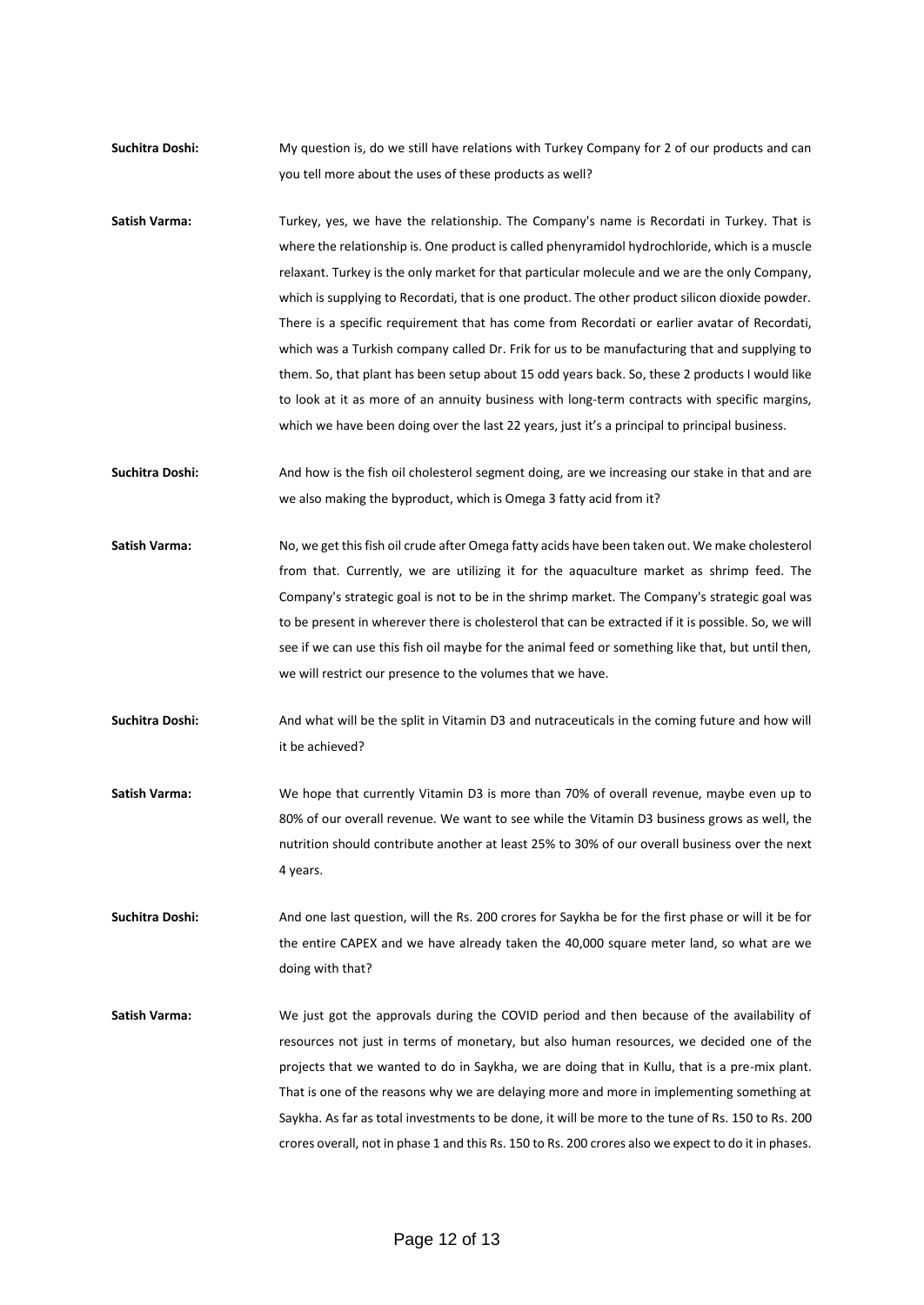- **Suchitra Doshi:** My question is, do we still have relations with Turkey Company for 2 of our products and can you tell more about the uses of these products as well?
- **Satish Varma:** Turkey, yes, we have the relationship. The Company's name is Recordati in Turkey. That is where the relationship is. One product is called phenyramidol hydrochloride, which is a muscle relaxant. Turkey is the only market for that particular molecule and we are the only Company, which is supplying to Recordati, that is one product. The other product silicon dioxide powder. There is a specific requirement that has come from Recordati or earlier avatar of Recordati, which was a Turkish company called Dr. Frik for us to be manufacturing that and supplying to them. So, that plant has been setup about 15 odd years back. So, these 2 products I would like to look at it as more of an annuity business with long-term contracts with specific margins, which we have been doing over the last 22 years, just it's a principal to principal business.
- **Suchitra Doshi:** And how is the fish oil cholesterol segment doing, are we increasing our stake in that and are we also making the byproduct, which is Omega 3 fatty acid from it?
- **Satish Varma:** No, we get this fish oil crude after Omega fatty acids have been taken out. We make cholesterol from that. Currently, we are utilizing it for the aquaculture market as shrimp feed. The Company's strategic goal is not to be in the shrimp market. The Company's strategic goal was to be present in wherever there is cholesterol that can be extracted if it is possible. So, we will see if we can use this fish oil maybe for the animal feed or something like that, but until then, we will restrict our presence to the volumes that we have.
- **Suchitra Doshi:** And what will be the split in Vitamin D3 and nutraceuticals in the coming future and how will it be achieved?
- **Satish Varma:** We hope that currently Vitamin D3 is more than 70% of overall revenue, maybe even up to 80% of our overall revenue. We want to see while the Vitamin D3 business grows as well, the nutrition should contribute another at least 25% to 30% of our overall business over the next 4 years.
- **Suchitra Doshi:** And one last question, will the Rs. 200 crores for Saykha be for the first phase or will it be for the entire CAPEX and we have already taken the 40,000 square meter land, so what are we doing with that?
- **Satish Varma:** We just got the approvals during the COVID period and then because of the availability of resources not just in terms of monetary, but also human resources, we decided one of the projects that we wanted to do in Saykha, we are doing that in Kullu, that is a pre-mix plant. That is one of the reasons why we are delaying more and more in implementing something at Saykha. As far as total investments to be done, it will be more to the tune of Rs. 150 to Rs. 200 crores overall, not in phase 1 and this Rs. 150 to Rs. 200 crores also we expect to do it in phases.